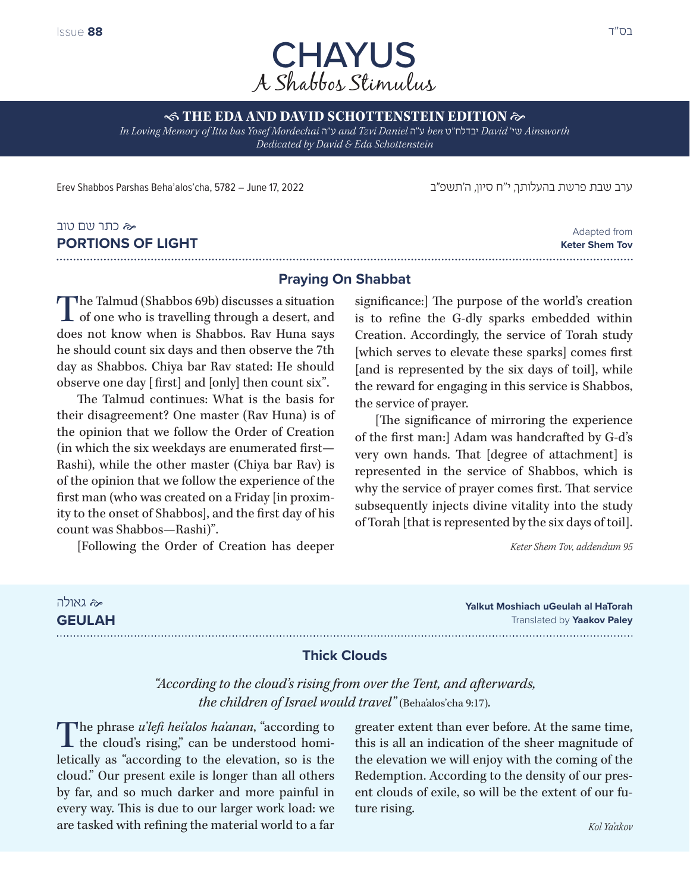

 **THE EDA AND DAVID SCHOTTENSTEIN EDITION**  *In Loving Memory of Itta bas Yosef Mordechai* ה"ע *and Tzvi Daniel* ה"ע *ben* ט"יבדלח *David* 'שי *Ainsworth* 

*Dedicated by David & Eda Schottenstein*

ערב שבת פרשת בהעלותך, י"ח סיון, ה'תשפ״ב 2012 - 2022 Irev Shabbos Parshas Beha'alos'cha, 5782 – June 17, 2022

# כתר שם טוב **PORTIONS OF LIGHT**

Adapted from **Keter Shem Tov** 

### **Praying On Shabbat**

The Talmud (Shabbos 69b) discusses a situation L of one who is travelling through a desert, and does not know when is Shabbos. Rav Huna says he should count six days and then observe the 7th day as Shabbos. Chiya bar Rav stated: He should observe one day [ first] and [only] then count six".

The Talmud continues: What is the basis for their disagreement? One master (Rav Huna) is of the opinion that we follow the Order of Creation (in which the six weekdays are enumerated first— Rashi), while the other master (Chiya bar Rav) is of the opinion that we follow the experience of the first man (who was created on a Friday [in proximity to the onset of Shabbos], and the first day of his count was Shabbos—Rashi)".

[Following the Order of Creation has deeper

significance:] The purpose of the world's creation is to refine the G-dly sparks embedded within Creation. Accordingly, the service of Torah study [which serves to elevate these sparks] comes first [and is represented by the six days of toil], while the reward for engaging in this service is Shabbos, the service of prayer.

[The significance of mirroring the experience of the first man:] Adam was handcrafted by G-d's very own hands. That [degree of attachment] is represented in the service of Shabbos, which is why the service of prayer comes first. That service subsequently injects divine vitality into the study of Torah [that is represented by the six days of toil].

*Keter Shem Tov, addendum 95*

| ≪ גאולה       | <b>Yalkut Moshiach uGeulah al HaTorah</b> |
|---------------|-------------------------------------------|
| <b>GEULAH</b> | Translated by <b>Yaakov Paley</b>         |
|               |                                           |

### **Thick Clouds**

*"According to the cloud's rising from over the Tent, and afterwards, the children of Israel would travel"* (Beha'alos'cha 9:17)*.*

The phrase *u'lefi hei'alos ha'anan*, "according to the cloud's rising," can be understood homiletically as "according to the elevation, so is the cloud." Our present exile is longer than all others by far, and so much darker and more painful in every way. This is due to our larger work load: we are tasked with refining the material world to a far

greater extent than ever before. At the same time, this is all an indication of the sheer magnitude of the elevation we will enjoy with the coming of the Redemption. According to the density of our present clouds of exile, so will be the extent of our future rising.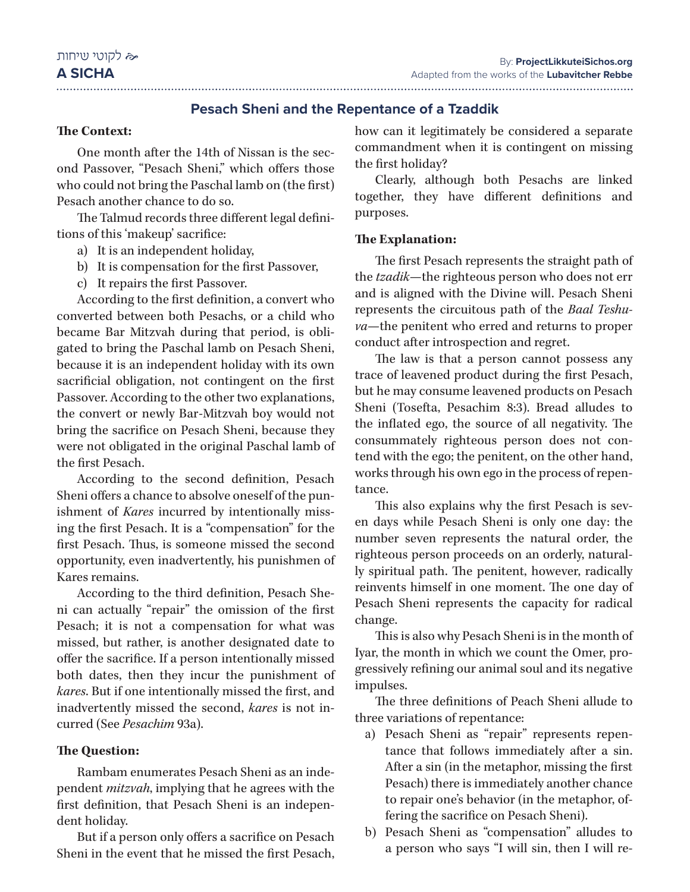### **Pesach Sheni and the Repentance of a Tzaddik**

### **The Context:**

One month after the 14th of Nissan is the second Passover, "Pesach Sheni," which offers those who could not bring the Paschal lamb on (the first) Pesach another chance to do so.

The Talmud records three different legal definitions of this 'makeup' sacrifice:

- a) It is an independent holiday,
- b) It is compensation for the first Passover,
- c) It repairs the first Passover.

According to the first definition, a convert who converted between both Pesachs, or a child who became Bar Mitzvah during that period, is obligated to bring the Paschal lamb on Pesach Sheni, because it is an independent holiday with its own sacrificial obligation, not contingent on the first Passover. According to the other two explanations, the convert or newly Bar-Mitzvah boy would not bring the sacrifice on Pesach Sheni, because they were not obligated in the original Paschal lamb of the first Pesach.

According to the second definition, Pesach Sheni offers a chance to absolve oneself of the punishment of *Kares* incurred by intentionally missing the first Pesach. It is a "compensation" for the first Pesach. Thus, is someone missed the second opportunity, even inadvertently, his punishmen of Kares remains.

According to the third definition, Pesach Sheni can actually "repair" the omission of the first Pesach; it is not a compensation for what was missed, but rather, is another designated date to offer the sacrifice. If a person intentionally missed both dates, then they incur the punishment of *kares*. But if one intentionally missed the first, and inadvertently missed the second, *kares* is not incurred (See *Pesachim* 93a).

### **The Question:**

Rambam enumerates Pesach Sheni as an independent *mitzvah*, implying that he agrees with the first definition, that Pesach Sheni is an independent holiday.

But if a person only offers a sacrifice on Pesach Sheni in the event that he missed the first Pesach,

how can it legitimately be considered a separate commandment when it is contingent on missing the first holiday?

Clearly, although both Pesachs are linked together, they have different definitions and purposes.

#### **The Explanation:**

The first Pesach represents the straight path of the *tzadik*—the righteous person who does not err and is aligned with the Divine will. Pesach Sheni represents the circuitous path of the *Baal Teshuva*—the penitent who erred and returns to proper conduct after introspection and regret.

The law is that a person cannot possess any trace of leavened product during the first Pesach, but he may consume leavened products on Pesach Sheni (Tosefta, Pesachim 8:3). Bread alludes to the inflated ego, the source of all negativity. The consummately righteous person does not contend with the ego; the penitent, on the other hand, works through his own ego in the process of repentance.

This also explains why the first Pesach is seven days while Pesach Sheni is only one day: the number seven represents the natural order, the righteous person proceeds on an orderly, naturally spiritual path. The penitent, however, radically reinvents himself in one moment. The one day of Pesach Sheni represents the capacity for radical change.

This is also why Pesach Sheni is in the month of Iyar, the month in which we count the Omer, progressively refining our animal soul and its negative impulses.

The three definitions of Peach Sheni allude to three variations of repentance:

- a) Pesach Sheni as "repair" represents repentance that follows immediately after a sin. After a sin (in the metaphor, missing the first Pesach) there is immediately another chance to repair one's behavior (in the metaphor, offering the sacrifice on Pesach Sheni).
- b) Pesach Sheni as "compensation" alludes to a person who says "I will sin, then I will re-

#### **A SICHA**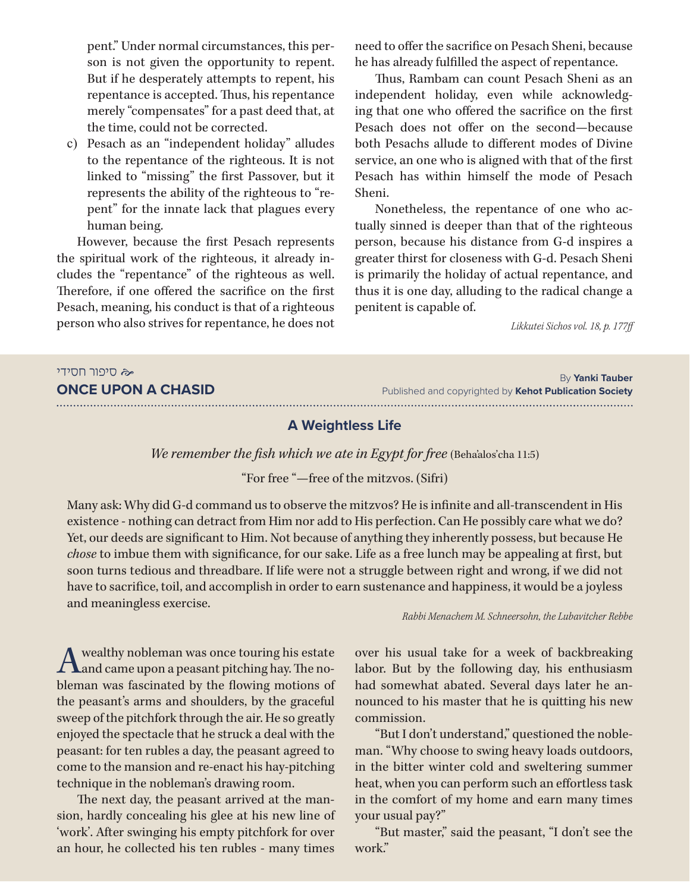pent." Under normal circumstances, this person is not given the opportunity to repent. But if he desperately attempts to repent, his repentance is accepted. Thus, his repentance merely "compensates" for a past deed that, at the time, could not be corrected.

c) Pesach as an "independent holiday" alludes to the repentance of the righteous. It is not linked to "missing" the first Passover, but it represents the ability of the righteous to "repent" for the innate lack that plagues every human being.

However, because the first Pesach represents the spiritual work of the righteous, it already includes the "repentance" of the righteous as well. Therefore, if one offered the sacrifice on the first Pesach, meaning, his conduct is that of a righteous person who also strives for repentance, he does not

need to offer the sacrifice on Pesach Sheni, because he has already fulfilled the aspect of repentance.

Thus, Rambam can count Pesach Sheni as an independent holiday, even while acknowledging that one who offered the sacrifice on the first Pesach does not offer on the second—because both Pesachs allude to different modes of Divine service, an one who is aligned with that of the first Pesach has within himself the mode of Pesach Sheni.

Nonetheless, the repentance of one who actually sinned is deeper than that of the righteous person, because his distance from G-d inspires a greater thirst for closeness with G-d. Pesach Sheni is primarily the holiday of actual repentance, and thus it is one day, alluding to the radical change a penitent is capable of.

*Likkutei Sichos vol. 18, p. 177ff*

| <b>≪</b> סיפור חסידי      |  |
|---------------------------|--|
| <b>ONCE UPON A CHASID</b> |  |

By **Yanki Tauber** Published and copyrighted by **Kehot Publication Society**

#### **A Weightless Life**

*We remember the fish which we ate in Egypt for free* (Beha'alos'cha 11:5)

"For free "—free of the mitzvos. (Sifri)

Many ask: Why did G-d command us to observe the mitzvos? He is infinite and all-transcendent in His existence - nothing can detract from Him nor add to His perfection. Can He possibly care what we do? Yet, our deeds are significant to Him. Not because of anything they inherently possess, but because He *chose* to imbue them with significance, for our sake. Life as a free lunch may be appealing at first, but soon turns tedious and threadbare. If life were not a struggle between right and wrong, if we did not have to sacrifice, toil, and accomplish in order to earn sustenance and happiness, it would be a joyless and meaningless exercise.

*Rabbi Menachem M. Schneersohn, the Lubavitcher Rebbe*

A wealthy nobleman was once touring his estate<br>and came upon a peasant pitching hay. The nobleman was fascinated by the flowing motions of the peasant's arms and shoulders, by the graceful sweep of the pitchfork through the air. He so greatly enjoyed the spectacle that he struck a deal with the peasant: for ten rubles a day, the peasant agreed to come to the mansion and re-enact his hay-pitching technique in the nobleman's drawing room.

The next day, the peasant arrived at the mansion, hardly concealing his glee at his new line of 'work'. After swinging his empty pitchfork for over an hour, he collected his ten rubles - many times

over his usual take for a week of backbreaking labor. But by the following day, his enthusiasm had somewhat abated. Several days later he announced to his master that he is quitting his new commission.

"But I don't understand," questioned the nobleman. "Why choose to swing heavy loads outdoors, in the bitter winter cold and sweltering summer heat, when you can perform such an effortless task in the comfort of my home and earn many times your usual pay?"

"But master," said the peasant, "I don't see the work."